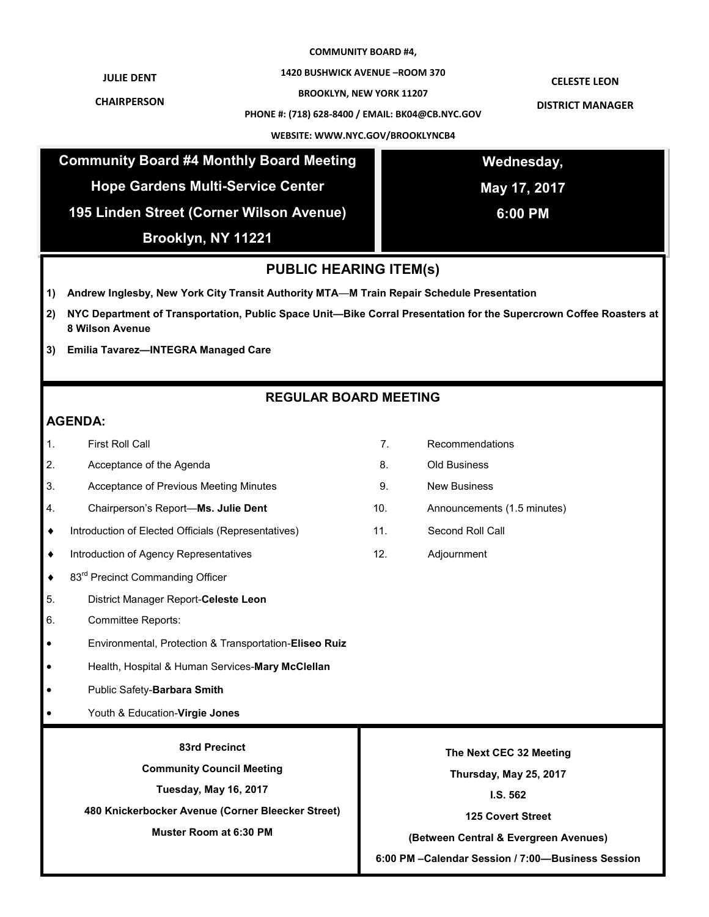### **COMMUNITY BOARD #4,**

**1420 BUSHWICK AVENUE –ROOM 370**

**JULIE DENT**

**CHAIRPERSON**

**BROOKLYN, NEW YORK 11207**

**PHONE #: (718) 628-8400 / EMAIL: BK04@CB.NYC.GOV**

**CELESTE LEON**

**DISTRICT MANAGER**

|                                          | <b>Community Board #4 Monthly Board Meeting</b><br><b>Hope Gardens Multi-Service Center</b>                                                  |                | Wednesday,                                                                                  |  |
|------------------------------------------|----------------------------------------------------------------------------------------------------------------------------------------------|----------------|---------------------------------------------------------------------------------------------|--|
|                                          |                                                                                                                                              |                |                                                                                             |  |
|                                          |                                                                                                                                              |                | May 17, 2017                                                                                |  |
| 195 Linden Street (Corner Wilson Avenue) |                                                                                                                                              |                | 6:00 PM                                                                                     |  |
|                                          | Brooklyn, NY 11221                                                                                                                           |                |                                                                                             |  |
| <b>PUBLIC HEARING ITEM(s)</b>            |                                                                                                                                              |                |                                                                                             |  |
| 1)                                       | Andrew Inglesby, New York City Transit Authority MTA-M Train Repair Schedule Presentation                                                    |                |                                                                                             |  |
| 2)                                       | NYC Department of Transportation, Public Space Unit-Bike Corral Presentation for the Supercrown Coffee Roasters at<br><b>8 Wilson Avenue</b> |                |                                                                                             |  |
| 3)                                       | Emilia Tavarez-INTEGRA Managed Care                                                                                                          |                |                                                                                             |  |
|                                          |                                                                                                                                              |                |                                                                                             |  |
| <b>REGULAR BOARD MEETING</b>             |                                                                                                                                              |                |                                                                                             |  |
| <b>AGENDA:</b>                           |                                                                                                                                              |                |                                                                                             |  |
| 1.                                       | <b>First Roll Call</b>                                                                                                                       | 7 <sub>1</sub> | Recommendations                                                                             |  |
| 2.                                       | Acceptance of the Agenda                                                                                                                     | 8.             | Old Business                                                                                |  |
| 3.                                       | Acceptance of Previous Meeting Minutes                                                                                                       | 9.             | <b>New Business</b>                                                                         |  |
| 4.                                       | Chairperson's Report-Ms. Julie Dent                                                                                                          | 10.            | Announcements (1.5 minutes)                                                                 |  |
| ٠                                        | Introduction of Elected Officials (Representatives)                                                                                          | 11.            | Second Roll Call                                                                            |  |
| ٠                                        | Introduction of Agency Representatives                                                                                                       | 12.            | Adjournment                                                                                 |  |
| ٠                                        | 83rd Precinct Commanding Officer                                                                                                             |                |                                                                                             |  |
| 5.                                       | District Manager Report-Celeste Leon                                                                                                         |                |                                                                                             |  |
| 6.                                       | <b>Committee Reports:</b>                                                                                                                    |                |                                                                                             |  |
| $\bullet$                                | Environmental, Protection & Transportation-Eliseo Ruiz                                                                                       |                |                                                                                             |  |
|                                          | Health, Hospital & Human Services-Mary McClellan                                                                                             |                |                                                                                             |  |
| $\bullet$                                | Public Safety-Barbara Smith                                                                                                                  |                |                                                                                             |  |
|                                          | Youth & Education-Virgie Jones                                                                                                               |                |                                                                                             |  |
|                                          | 83rd Precinct                                                                                                                                |                |                                                                                             |  |
| <b>Community Council Meeting</b>         |                                                                                                                                              |                | The Next CEC 32 Meeting                                                                     |  |
| <b>Tuesday, May 16, 2017</b>             |                                                                                                                                              |                | Thursday, May 25, 2017                                                                      |  |
|                                          | 480 Knickerbocker Avenue (Corner Bleecker Street)                                                                                            |                | I.S.562                                                                                     |  |
| <b>Muster Room at 6:30 PM</b>            |                                                                                                                                              |                | <b>125 Covert Street</b>                                                                    |  |
|                                          |                                                                                                                                              |                | (Between Central & Evergreen Avenues)<br>6:00 PM - Calendar Session / 7:00-Business Session |  |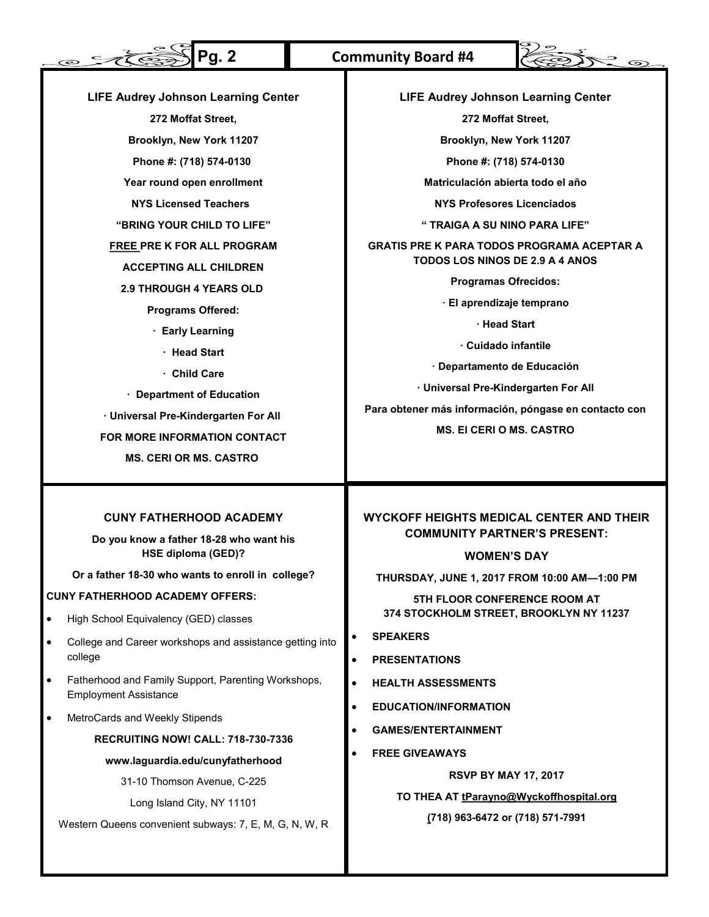#### **Pg. 2 Community Board #4** $\circ$  100  $\sum_{i=1}^{n} \sum_{j=1}^{n} \sum_{j=1}^{n} \sum_{j=1}^{n} \sum_{j=1}^{n} \sum_{j=1}^{n} \sum_{j=1}^{n} \sum_{j=1}^{n} \sum_{j=1}^{n} \sum_{j=1}^{n} \sum_{j=1}^{n} \sum_{j=1}^{n} \sum_{j=1}^{n} \sum_{j=1}^{n} \sum_{j=1}^{n} \sum_{j=1}^{n} \sum_{j=1}^{n} \sum_{j=1}^{n} \sum_{j=1}^{n} \sum_{j=1}^{n} \sum_{j=1}^{n} \sum_{j=1}^{n}$ **LIFE Audrey Johnson Learning Center LIFE Audrey Johnson Learning Center 272 Moffat Street, 272 Moffat Street, Brooklyn, New York 11207 Brooklyn, New York 11207 Phone #: (718) 574-0130 Phone #: (718) 574-0130 Year round open enrollment Matriculación abierta todo el año NYS Licensed Teachers NYS Profesores Licenciados "BRING YOUR CHILD TO LIFE" " TRAIGA A SU NINO PARA LIFE" FREE PRE K FOR ALL PROGRAM GRATIS PRE K PARA TODOS PROGRAMA ACEPTAR A TODOS LOS NINOS DE 2.9 A 4 ANOS ACCEPTING ALL CHILDREN Programas Ofrecidos: 2.9 THROUGH 4 YEARS OLD · El aprendizaje temprano Programs Offered: · Head Start · Early Learning · Cuidado infantile · Head Start · Departamento de Educación · Child Care · Universal Pre-Kindergarten For All · Department of Education Para obtener más información, póngase en contacto con · Universal Pre-Kindergarten For All MS. El CERI O MS. CASTRO FOR MORE INFORMATION CONTACT**

## **CUNY FATHERHOOD ACADEMY**

**MS. CERI OR MS. CASTRO**

**Do you know a father 18-28 who want his HSE diploma (GED)?**

**Or a father 18-30 who wants to enroll in college?**

## **CUNY FATHERHOOD ACADEMY OFFERS:**

- High School Equivalency (GED) classes
- College and Career workshops and assistance getting into college
- Fatherhood and Family Support, Parenting Workshops, Employment Assistance
- MetroCards and Weekly Stipends

### **RECRUITING NOW! CALL: 718-730-7336**

### **www.laguardia.edu/cunyfatherhood**

31-10 Thomson Avenue, C-225

Long Island City, NY 11101

Western Queens convenient subways: 7, E, M, G, N, W, R

# **WYCKOFF HEIGHTS MEDICAL CENTER AND THEIR COMMUNITY PARTNER'S PRESENT:**

## **WOMEN'S DAY**

**THURSDAY, JUNE 1, 2017 FROM 10:00 AM—1:00 PM**

**5TH FLOOR CONFERENCE ROOM AT 374 STOCKHOLM STREET, BROOKLYN NY 11237**

- **SPEAKERS**
- **PRESENTATIONS**
- **HEALTH ASSESSMENTS**
- **EDUCATION/INFORMATION**
- **GAMES/ENTERTAINMENT**
- **FREE GIVEAWAYS**

**RSVP BY MAY 17, 2017**

**TO THEA AT tParayno@Wyckoffhospital.org**

**(718) 963-6472 or (718) 571-7991**